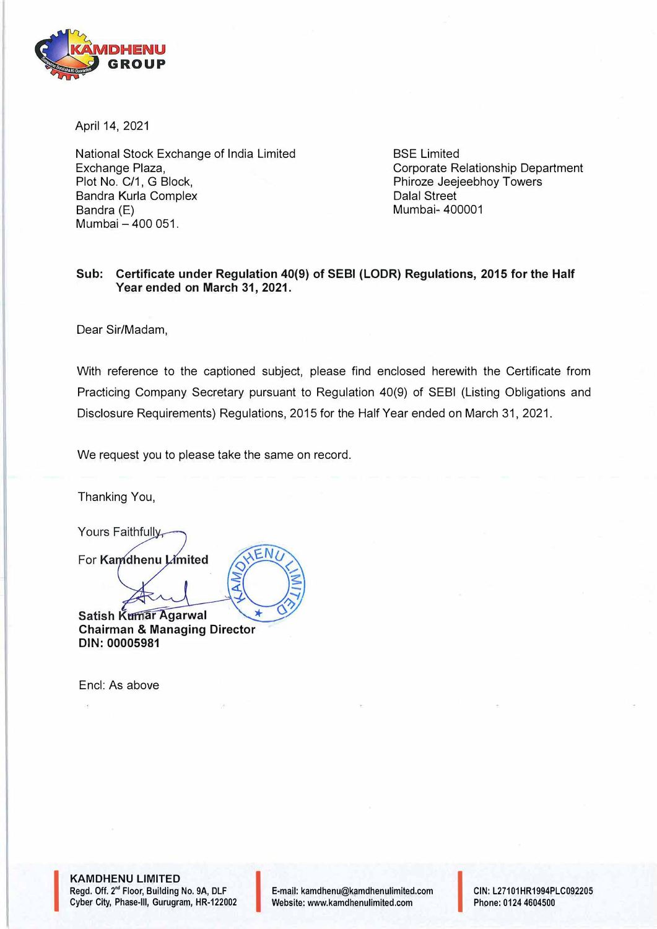

April 14, 2021

National Stock Exchange of India Limited Exchange Plaza, Plot No. C/1, G Block, Sandra Kurla Complex Bandra (E) Mumbai - 400 051.

BSE Limited Corporate Relationship Department Phiroze Jeejeebhoy Towers Dalal Street Mumbai- 400001

## **Sub: Certificate under Regulation 40(9) of SEBI (LODR) Regulations, 2015 for the Half Year ended on March 31, 2021.**

Dear Sir/Madam,

With reference to the captioned subject, please find enclosed herewith the Certificate from Practicing Company Secretary pursuant to Regulation 40(9) of SEBI (Listing Obligations and Disclosure Requirements) Regulations, 2015 for the Half Year ended on March 31, 2021.

We request you to please take the same on record.

◢

Thanking You,

Yours Faithfully,

For Kamdhenu Limited

Satish Kumar Agarwal **Chairman & Managing Director DIN: 00005981** 

Encl: As above

**KAMDHENU LIMITED**  Regd. Off. 2<sup>nd</sup> Floor, Building No. 9A, DLF Cyber City, Phase-III, Gurugram, HR-122002

**I** 

E-mail: kamdhenu@kamdhenulimited.com **E-mail: kamdhenu@kamdhenulimited.com**<br>Website: www.kamdhenulimited.com

**CIN:** L27101HR1994PLC092205 Phone: 0124 4604500